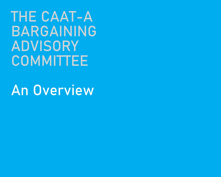THE CAAT-A BARGAINING **ADVISORY COMMITTEE** 

An Overview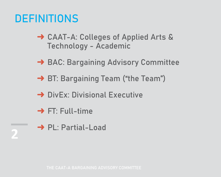## DEFINITIONS

- **→ CAAT-A: Colleges of Applied Arts &** Technology - Academic
- **→ BAC: Bargaining Advisory Committee**
- → BT: Bargaining Team ("the Team")
- **→ DivEx: Divisional Executive**
- $\rightarrow$  FT: Full-time
- **→ PL: Partial-Load**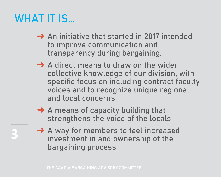## WHAT IT IS…

- **→ An initiative that started in 2017 intended** to improve communication and transparency during bargaining.
- $\rightarrow$  A direct means to draw on the wider collective knowledge of our division, with specific focus on including contract faculty voices and to recognize unique regional and local concerns
- $\rightarrow$  A means of capacity building that strengthens the voice of the locals
- **→ A way for members to feel increased** investment in and ownership of the bargaining process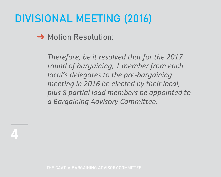# DIVISIONAL MEETING (2016)

#### **→ Motion Resolution:**

*Therefore, be it resolved that for the 2017 round of bargaining, 1 member from each local's delegates to the pre-bargaining meeting in 2016 be elected by their local, plus 8 partial load members be appointed to a Bargaining Advisory Committee.*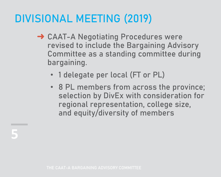# DIVISIONAL MEETING (2019)

- **→ CAAT-A Negotiating Procedures were** revised to include the Bargaining Advisory Committee as a standing committee during bargaining.
	- 1 delegate per local (FT or PL)
	- 8 PL members from across the province; selection by DivEx with consideration for regional representation, college size, and equity/diversity of members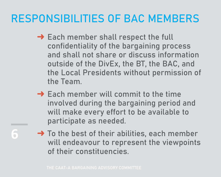## RESPONSIBILITIES OF BAC MEMBERS

- **→ Each member shall respect the full** confidentiality of the bargaining process and shall not share or discuss information outside of the DivEx, the BT, the BAC, and the Local Presidents without permission of the Team.
- $\rightarrow$  Each member will commit to the time involved during the bargaining period and will make every effort to be available to participate as needed.
- $\rightarrow$  To the best of their abilities, each member will endeavour to represent the viewpoints of their constituencies.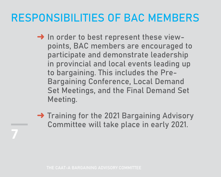## RESPONSIBILITIES OF BAC MEMBERS

- → In order to best represent these viewpoints, BAC members are encouraged to participate and demonstrate leadership in provincial and local events leading up to bargaining. This includes the Pre-Bargaining Conference, Local Demand Set Meetings, and the Final Demand Set Meeting.
- **→ Training for the 2021 Bargaining Advisory** Committee will take place in early 2021.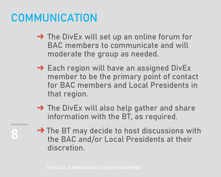#### COMMUNICATION

- → The DivEx will set up an online forum for BAC members to communicate and will moderate the group as needed.
- $\rightarrow$  Each region will have an assigned DivEx member to be the primary point of contact for BAC members and Local Presidents in that region.
- → The DivEx will also help gather and share information with the BT, as required.
- → The BT may decide to host discussions with the BAC and/or Local Presidents at their discretion.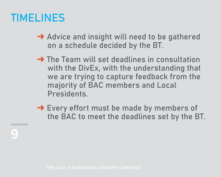#### TIMELINES

- **→ Advice and insight will need to be gathered** on a schedule decided by the BT.
- **→ The Team will set deadlines in consultation** with the DivEx, with the understanding that we are trying to capture feedback from the majority of BAC members and Local Presidents.
- **→ Every effort must be made by members of** the BAC to meet the deadlines set by the BT.